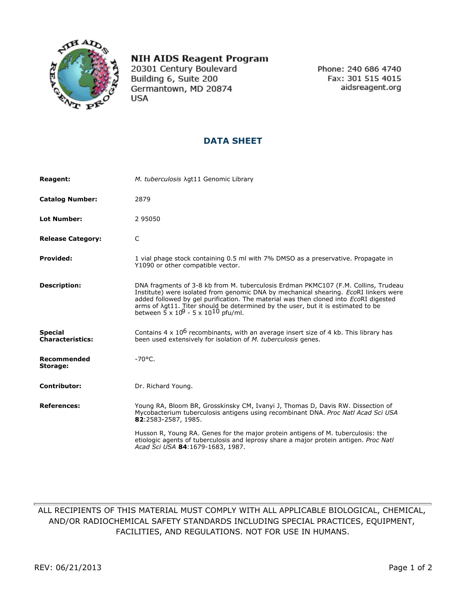

## **NIH AIDS Reagent Program**

20301 Century Boulevard Building 6, Suite 200 Germantown, MD 20874 **USA** 

Phone: 240 686 4740 Fax: 301 515 4015 aidsreagent.org

## **DATA SHEET**

| <b>Reagent:</b>                           | M. tuberculosis Agt11 Genomic Library                                                                                                                                                                                                                                                                                                                                                                                           |
|-------------------------------------------|---------------------------------------------------------------------------------------------------------------------------------------------------------------------------------------------------------------------------------------------------------------------------------------------------------------------------------------------------------------------------------------------------------------------------------|
| <b>Catalog Number:</b>                    | 2879                                                                                                                                                                                                                                                                                                                                                                                                                            |
| <b>Lot Number:</b>                        | 2 95050                                                                                                                                                                                                                                                                                                                                                                                                                         |
| <b>Release Category:</b>                  | C                                                                                                                                                                                                                                                                                                                                                                                                                               |
| <b>Provided:</b>                          | 1 vial phage stock containing 0.5 ml with 7% DMSO as a preservative. Propagate in<br>Y1090 or other compatible vector.                                                                                                                                                                                                                                                                                                          |
| <b>Description:</b>                       | DNA fragments of 3-8 kb from M. tuberculosis Erdman PKMC107 (F.M. Collins, Trudeau<br>Institute) were isolated from genomic DNA by mechanical shearing. EcoRI linkers were<br>added followed by gel purification. The material was then cloned into EcoRI digested<br>arms of $\lambda$ gt11. Titer should be determined by the user, but it is estimated to be<br>between $\bar{5} \times 10^9$ - 5 x 10 <sup>10</sup> pfu/ml. |
| <b>Special</b><br><b>Characteristics:</b> | Contains $4 \times 10^6$ recombinants, with an average insert size of 4 kb. This library has<br>been used extensively for isolation of <i>M. tuberculosis</i> genes.                                                                                                                                                                                                                                                            |
| Recommended<br>Storage:                   | $-70^{\circ}$ C.                                                                                                                                                                                                                                                                                                                                                                                                                |
| <b>Contributor:</b>                       | Dr. Richard Young.                                                                                                                                                                                                                                                                                                                                                                                                              |
| <b>References:</b>                        | Young RA, Bloom BR, Grosskinsky CM, Ivanyi J, Thomas D, Davis RW. Dissection of<br>Mycobacterium tuberculosis antigens using recombinant DNA. Proc Natl Acad Sci USA<br>82:2583-2587, 1985.                                                                                                                                                                                                                                     |
|                                           | Husson R, Young RA. Genes for the major protein antigens of M. tuberculosis: the<br>etiologic agents of tuberculosis and leprosy share a major protein antigen. Proc Natl<br>Acad Sci USA 84:1679-1683, 1987.                                                                                                                                                                                                                   |

## ALL RECIPIENTS OF THIS MATERIAL MUST COMPLY WITH ALL APPLICABLE BIOLOGICAL, CHEMICAL, AND/OR RADIOCHEMICAL SAFETY STANDARDS INCLUDING SPECIAL PRACTICES, EQUIPMENT, FACILITIES, AND REGULATIONS. NOT FOR USE IN HUMANS.